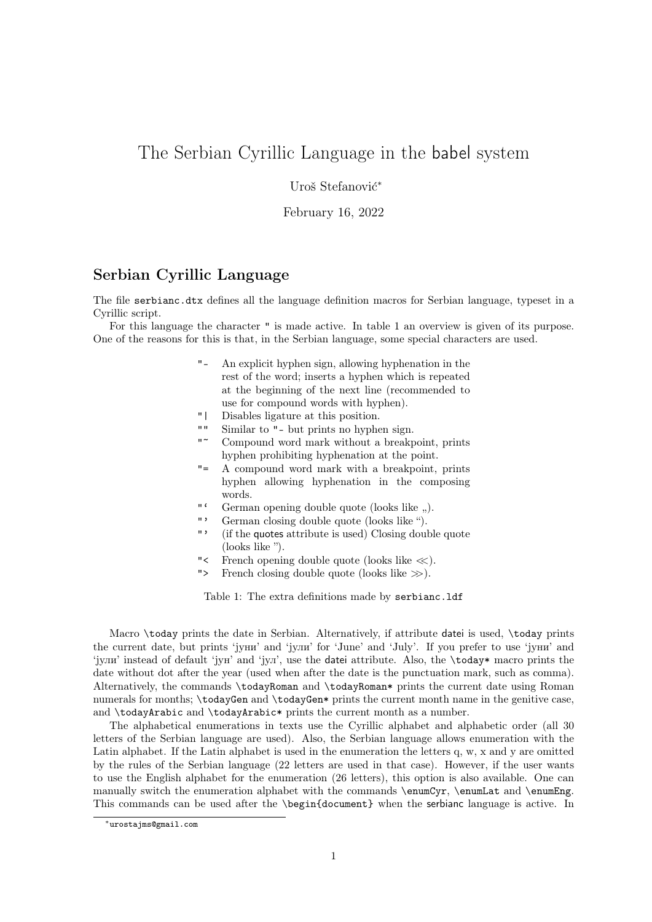## The Serbian Cyrillic Language in the babel system

Uroš Stefanović<sup>\*</sup>

February 16, 2022

## Serbian Cyrillic Language

The file serbianc.dtx defines all the language definition macros for Serbian language, typeset in a Cyrillic script.

For this language the character " is made active. In table 1 an overview is given of its purpose. One of the reasons for this is that, in the Serbian language, some special characters are used.

- "- An explicit hyphen sign, allowing hyphenation in the rest of the word; inserts a hyphen which is repeated at the beginning of the next line (recommended to use for compound words with hyphen).
- "| Disables ligature at this position.
- "" Similar to "- but prints no hyphen sign.
- Compound word mark without a breakpoint, prints hyphen prohibiting hyphenation at the point.
- "= A compound word mark with a breakpoint, prints hyphen allowing hyphenation in the composing words.
- "' German opening double quote (looks like ,,).<br>"' German closing double quote (looks like ").
- German closing double quote (looks like ").
- "' (if the quotes attribute is used) Closing double quote (looks like ").
- "< French opening double quote (looks like <<).
- "> French closing double quote (looks like  $\gg$ ).

Table 1: The extra definitions made by serbianc.ldf

Macro \today prints the date in Serbian. Alternatively, if attribute datei is used, \today prints the current date, but prints 'jуни' and 'jули' for 'June' and 'July'. If you prefer to use 'jуни' and 'jули' instead of default 'jун' and 'jул', use the datei attribute. Also, the \today\* macro prints the date without dot after the year (used when after the date is the punctuation mark, such as comma). Alternatively, the commands \todayRoman and \todayRoman\* prints the current date using Roman numerals for months; \todayGen and \todayGen\* prints the current month name in the genitive case, and \todayArabic and \todayArabic\* prints the current month as a number.

The alphabetical enumerations in texts use the Cyrillic alphabet and alphabetic order (all 30 letters of the Serbian language are used). Also, the Serbian language allows enumeration with the Latin alphabet. If the Latin alphabet is used in the enumeration the letters q, w, x and y are omitted by the rules of the Serbian language (22 letters are used in that case). However, if the user wants to use the English alphabet for the enumeration (26 letters), this option is also available. One can manually switch the enumeration alphabet with the commands \enumCyr, \enumLat and \enumEng. This commands can be used after the \begin{document} when the serbianc language is active. In

<sup>∗</sup>urostajms@gmail.com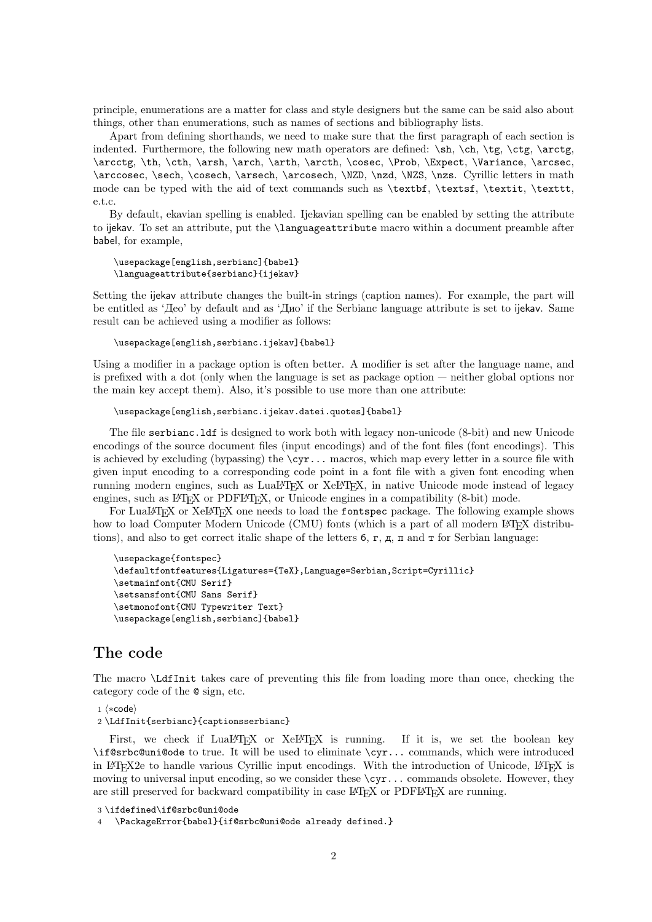principle, enumerations are a matter for class and style designers but the same can be said also about things, other than enumerations, such as names of sections and bibliography lists.

Apart from defining shorthands, we need to make sure that the first paragraph of each section is indented. Furthermore, the following new math operators are defined:  $\sh, \ch, \te, \ctg, \arctg,$ \arcctg, \th, \cth, \arsh, \arch, \arth, \arcth, \cosec, \Prob, \Expect, \Variance, \arcsec, \arccosec, \sech, \cosech, \arsech, \arcosech, \NZD, \nzd, \NZS, \nzs. Cyrillic letters in math mode can be typed with the aid of text commands such as \textbf, \textsf, \textit, \texttt, e.t.c.

By default, ekavian spelling is enabled. Ijekavian spelling can be enabled by setting the attribute to ijekav. To set an attribute, put the \languageattribute macro within a document preamble after babel, for example,

```
\usepackage[english,serbianc]{babel}
\languageattribute{serbianc}{ijekav}
```
Setting the ijekav attribute changes the built-in strings (caption names). For example, the part will be entitled as 'Део' by default and as 'Дио' if the Serbianc language attribute is set to ijekav. Same result can be achieved using a modifier as follows:

```
\usepackage[english,serbianc.ijekav]{babel}
```
Using a modifier in a package option is often better. A modifier is set after the language name, and is prefixed with a dot (only when the language is set as package option — neither global options nor the main key accept them). Also, it's possible to use more than one attribute:

```
\usepackage[english,serbianc.ijekav.datei.quotes]{babel}
```
The file serbianc.ldf is designed to work both with legacy non-unicode (8-bit) and new Unicode encodings of the source document files (input encodings) and of the font files (font encodings). This is achieved by excluding (bypassing) the  $\c{yr...}$  macros, which map every letter in a source file with given input encoding to a corresponding code point in a font file with a given font encoding when running modern engines, such as LuaLAT<sub>EX</sub> or XeLAT<sub>EX</sub>, in native Unicode mode instead of legacy engines, such as  $LAT$ <sub>F</sub>X or PDFL<sup> $AT$ </sup>F<sub>N</sub>, or Unicode engines in a compatibility (8-bit) mode.

For LuaLATEX or XeLATEX one needs to load the fontspec package. The following example shows how to load Computer Modern Unicode (CMU) fonts (which is a part of all modern LATEX distributions), and also to get correct italic shape of the letters  $6, r, \pi, \pi$  and  $\tau$  for Serbian language:

```
\usepackage{fontspec}
\defaultfontfeatures{Ligatures={TeX},Language=Serbian,Script=Cyrillic}
\setmainfont{CMU Serif}
\setsansfont{CMU Sans Serif}
\setmonofont{CMU Typewriter Text}
\usepackage[english,serbianc]{babel}
```
## The code

The macro \LdfInit takes care of preventing this file from loading more than once, checking the category code of the @ sign, etc.

1 ⟨∗code⟩

2 \LdfInit{serbianc}{captionsserbianc}

First, we check if LuaLATEX or XeLATEX is running. If it is, we set the boolean key \if@srbc@uni@ode to true. It will be used to eliminate \cyr... commands, which were introduced in LAT<sub>EX</sub>2e to handle various Cyrillic input encodings. With the introduction of Unicode, LAT<sub>EX</sub> is moving to universal input encoding, so we consider these  $\zeta$ r... commands obsolete. However, they are still preserved for backward compatibility in case LAT<sub>EX</sub> or PDFLAT<sub>EX</sub> are running.

```
3 \ifdefined\if@srbc@uni@ode
```

```
4 \PackageError{babel}{if@srbc@uni@ode already defined.}
```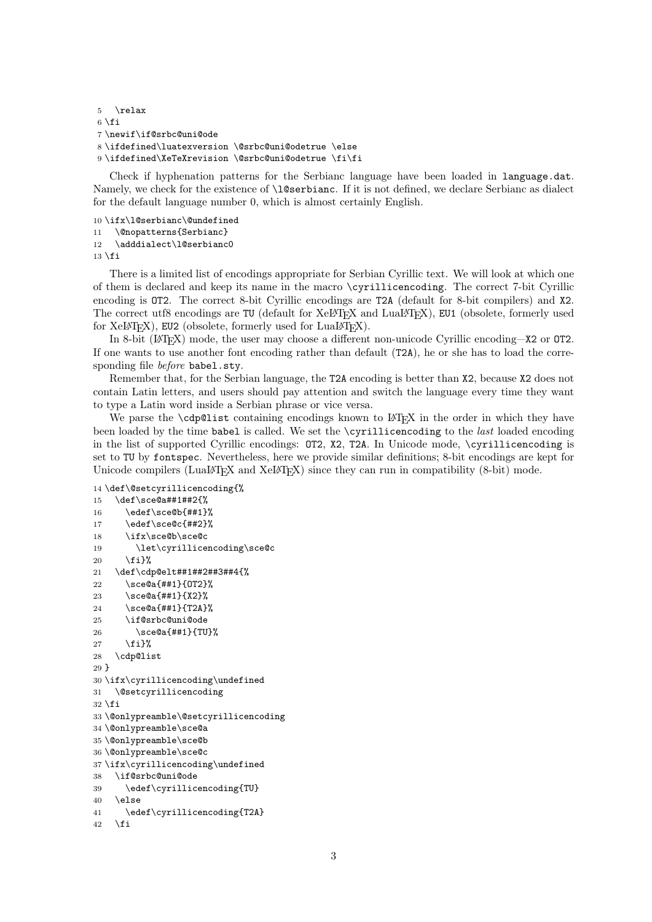```
5 \relax
6 \setminus fi7 \newif\if@srbc@uni@ode
8 \ifdefined\luatexversion \@srbc@uni@odetrue \else
9 \ifdefined\XeTeXrevision \@srbc@uni@odetrue \fi\fi
```
Check if hyphenation patterns for the Serbianc language have been loaded in language.dat. Namely, we check for the existence of  $\lambda$ 1@serbianc. If it is not defined, we declare Serbianc as dialect for the default language number 0, which is almost certainly English.

```
10 \ifx\l@serbianc\@undefined
```

```
11 \@nopatterns{Serbianc}
12 \adddialect\l@serbianc0
```
 $13$  \fi

There is a limited list of encodings appropriate for Serbian Cyrillic text. We will look at which one of them is declared and keep its name in the macro \cyrillicencoding. The correct 7-bit Cyrillic encoding is OT2. The correct 8-bit Cyrillic encodings are T2A (default for 8-bit compilers) and X2. The correct utf8 encodings are TU (default for XeL<sup>AT</sup>EX and LuaL<sup>AT</sup>EX), EU1 (obsolete, formerly used for  $XeLATFX$ ), EU2 (obsolete, formerly used for  $LuaLATFX$ ).

In 8-bit (LATEX) mode, the user may choose a different non-unicode Cyrillic encoding—X2 or OT2. If one wants to use another font encoding rather than default (T2A), he or she has to load the corresponding file before babel.sty.

Remember that, for the Serbian language, the T2A encoding is better than X2, because X2 does not contain Latin letters, and users should pay attention and switch the language every time they want to type a Latin word inside a Serbian phrase or vice versa.

We parse the **\cdp@list** containing encodings known to L<sup>A</sup>T<sub>E</sub>X in the order in which they have been loaded by the time babel is called. We set the \cyrillicencoding to the last loaded encoding in the list of supported Cyrillic encodings: OT2, X2, T2A. In Unicode mode, \cyrillicencoding is set to TU by fontspec. Nevertheless, here we provide similar definitions; 8-bit encodings are kept for Unicode compilers (LuaL<sup>AT</sup>EX and XeL<sup>T</sup>EX) since they can run in compatibility (8-bit) mode.

```
14 \def\@setcyrillicencoding{%
```

```
15 \def\sce@a##1##2{%
16 \qquad \text{see@b{##1}}17 \edef\sce@c{##2}%
18 \ifx\sce@b\sce@c
19 \let\cyrillicencoding\sce@c
20 \quad \text{Y} i \}%
21 \def\cdp@elt##1##2##3##4{%
22 \sce@a{##1}{OT2}%
23 \sce@a{##1}{X2}%
24 \sce@a{##1}{T2A}%
25 \if@srbc@uni@ode
26 \sce@a{##1}{TU}%
27 \{f_i\}%
28 \cdp@list
2930 \ifx\cyrillicencoding\undefined
31 \@setcyrillicencoding
32 \text{ t}33 \@onlypreamble\@setcyrillicencoding
34 \@onlypreamble\sce@a
35 \@onlypreamble\sce@b
36 \@onlypreamble\sce@c
37 \ifx\cyrillicencoding\undefined
38 \if@srbc@uni@ode
39 \edef\cyrillicencoding{TU}
40 \sqrt{25}41 \edef\cyrillicencoding{T2A}
42 \fi
```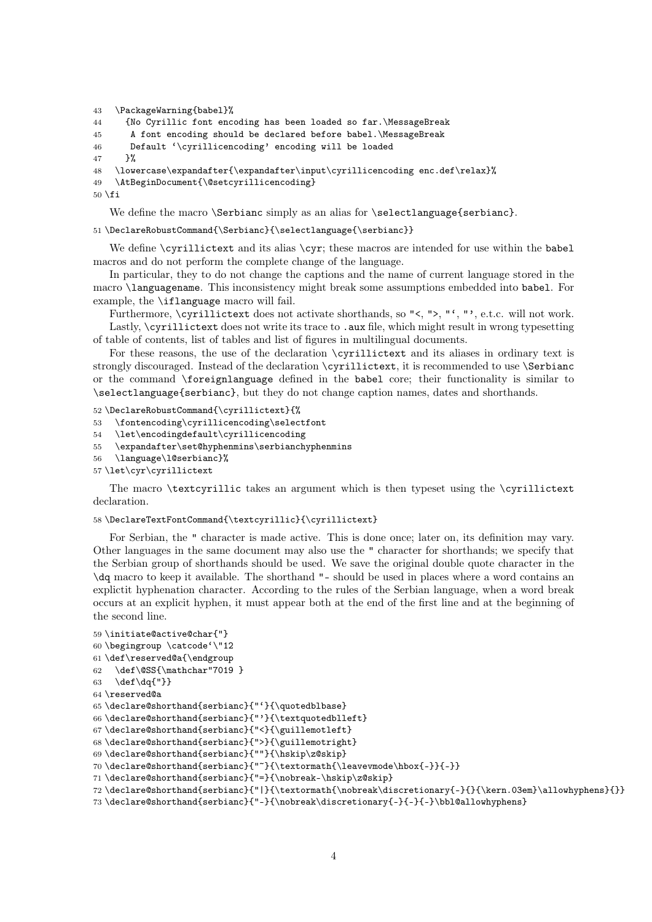```
43 \PackageWarning{babel}%
44 {No Cyrillic font encoding has been loaded so far.\MessageBreak
45 A font encoding should be declared before babel.\MessageBreak
46 Default '\cyrillicencoding' encoding will be loaded
47 }%
48 \lowercase\expandafter{\expandafter\input\cyrillicencoding enc.def\relax}%
49 \AtBeginDocument{\@setcyrillicencoding}
50 \text{ } \text{ } 50
```
We define the macro \Serbianc simply as an alias for \selectlanguage{serbianc}.

51\DeclareRobustCommand{\Serbianc}{\selectlanguage{\serbianc}}

We define \cyrillictext and its alias \cyr; these macros are intended for use within the babel macros and do not perform the complete change of the language.

In particular, they to do not change the captions and the name of current language stored in the macro \languagename. This inconsistency might break some assumptions embedded into babel. For example, the \iflanguage macro will fail.

Furthermore, \cyrillictext does not activate shorthands, so "<, ">, "', "', e.t.c. will not work. Lastly, \cyrillictext does not write its trace to .aux file, which might result in wrong typesetting of table of contents, list of tables and list of figures in multilingual documents.

For these reasons, the use of the declaration \cyrillictext and its aliases in ordinary text is strongly discouraged. Instead of the declaration \cyrillictext, it is recommended to use \Serbianc or the command \foreignlanguage defined in the babel core; their functionality is similar to \selectlanguage{serbianc}, but they do not change caption names, dates and shorthands.

52 \DeclareRobustCommand{\cyrillictext}{%

- 53 \fontencoding\cyrillicencoding\selectfont
- 54 \let\encodingdefault\cyrillicencoding
- 55 \expandafter\set@hyphenmins\serbianchyphenmins
- 56 \language\l@serbianc}%
- 57 \let\cyr\cyrillictext

The macro \textcyrillic takes an argument which is then typeset using the \cyrillictext declaration.

## 58 \DeclareTextFontCommand{\textcyrillic}{\cyrillictext}

For Serbian, the " character is made active. This is done once; later on, its definition may vary. Other languages in the same document may also use the " character for shorthands; we specify that the Serbian group of shorthands should be used. We save the original double quote character in the \dq macro to keep it available. The shorthand "- should be used in places where a word contains an explictit hyphenation character. According to the rules of the Serbian language, when a word break occurs at an explicit hyphen, it must appear both at the end of the first line and at the beginning of the second line.

```
59 \initiate@active@char{"}
60 \begingroup \catcode'\"12
61 \def\reserved@a{\endgroup
62 \def\@SS{\mathchar"7019 }
63 \def\dq{"}}
64 \reserved@a
65 \declare@shorthand{serbianc}{"'}{\quotedblbase}
66 \declare@shorthand{serbianc}{"'}{\textquotedblleft}
67\declare@shorthand{serbianc}{"<}{\guillemotleft}
68 \declare@shorthand{serbianc}{">}{\guillemotright}
69 \declare@shorthand{serbianc}{""}{\hskip\z@skip}
70 \declare@shorthand{serbianc}{"~}{\textormath{\leavevmode\hbox{-}}{-}}
71 \declare@shorthand{serbianc}{"=}{\nobreak-\hskip\z@skip}
72 \declare@shorthand{serbianc}{"|}{\textormath{\nobreak\discretionary{-}{}{\kern.03em}\allowhyphens}{}}
73 \declare@shorthand{serbianc}{"-}{\nobreak\discretionary{-}{-}{-}\bbl@allowhyphens}
```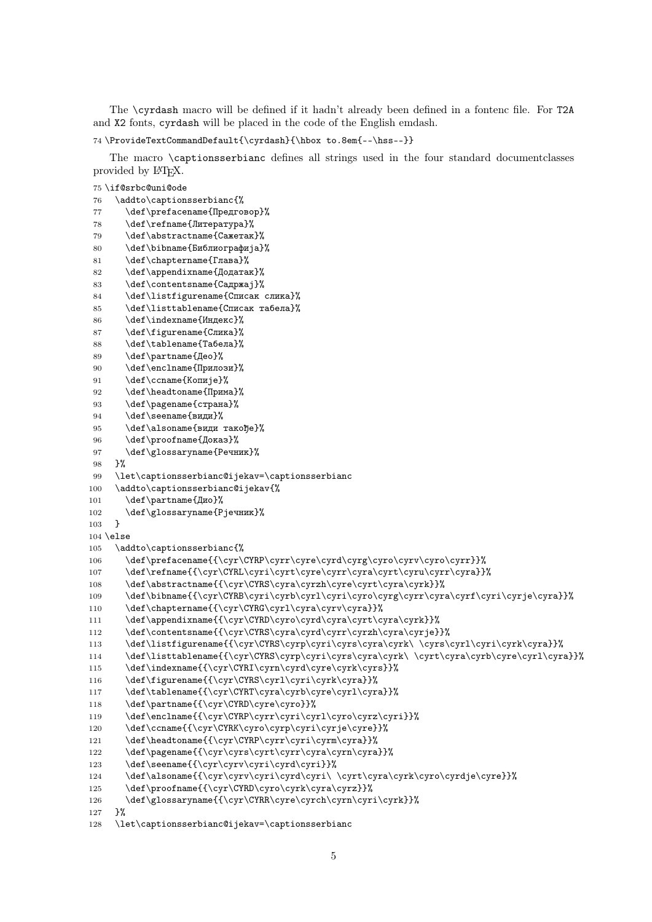The \cyrdash macro will be defined if it hadn't already been defined in a fontenc file. For T2A and X2 fonts, cyrdash will be placed in the code of the English emdash.

```
74 \ProvideTextCommandDefault{\cyrdash}{\hbox to.8em{--\hss--}}
```
The macro \captionsserbianc defines all strings used in the four standard documentclasses provided by L<sup>AT</sup>FX.

```
75 \if@srbc@uni@ode
76 \addto\captionsserbianc{%
77 \def\prefacename{Предговор}%
78 \def\refname{Литература}%
 79 \def\abstractname{Сажетак}%
 80 \def\bibname{Библиографија}%
81 \def\chaptername{Глава}%
82 \def\appendixname{Додатак}%
83 \def\contentsname{Садржај}%
84 \def\listfigurename{Списак слика}%
85 \def\listtablename{Списак табела}%
86 \def\indexname{Индекс}%
 87 \def\figurename{Слика}%
88 \def\tablename{Табела}%
 89 \def\partname{Део}%
90 \def\enclname{Прилози}%
91 \def\complement \def\ccname{Копије}%
92 \def\headtoname{Прима}%
93 \def\pagename{страна}%
94 \def\seename{види}%
95 \def\alsoname{види такође}%
96 \def\proofname{Доказ}%
97 \def\glossaryname{Речник}%
98 }%
99 \let\captionsserbianc@ijekav=\captionsserbianc
100 \addto\captionsserbianc@ijekav{%
101 \def\partname{Дио}%
102 \def\glossaryname{Рјечник}%
103 }
104 \else
105 \addto\captionsserbianc{%
106 \def\prefacename{{\cyr\CYRP\cyrr\cyre\cyrd\cyrg\cyro\cyrv\cyro\cyrr}}%
107 \def\refname{{\cyr\CYRL\cyri\cyrt\cyre\cyrr\cyra\cyrt\cyru\cyrr\cyra}}%
108 \def\abstractname{{\cyr\CYRS\cyra\cyrzh\cyre\cyrt\cyra\cyrk}}%
109 \def\bibname{{\cyr\CYRB\cyri\cyrb\cyrl\cyri\cyro\cyrg\cyrr\cyra\cyrf\cyri\cyrje\cyra}}%
110 \def\chaptername{{\cyr\CYRG\cyrl\cyra\cyrv\cyra}}%
111 \def\appendixname{{\cyr\CYRD\cyro\cyrd\cyra\cyrt\cyra\cyrk}}%
112 \def\contentsname{{\cyr\CYRS\cyra\cyrd\cyrr\cyrzh\cyra\cyrje}}%
113 \def\listfigurename{{\cyr\CYRS\cyrp\cyri\cyrs\cyra\cyrk\ \cyrs\cyrl\cyri\cyrk\cyra}}%
114 \def\listtablename{{\cyr\CYRS\cyrp\cyri\cyrs\cyra\cyrk\ \cyrt\cyra\cyrb\cyre\cyrl\cyra}}%
115 \def\indexname{{\cyr\CYRI\cyrn\cyrd\cyre\cyrk\cyrs}}%
116 \def\figurename{{\cyr\CYRS\cyrl\cyri\cyrk\cyra}}%
117 \def\tablename{{\cyr\CYRT\cyra\cyrb\cyre\cyrl\cyra}}%
118 \def\partname{{\cvr\CYRD\cvre\cvro}}%
119 \def\enclname{{\cyr\CYRP\cyrr\cyri\cyrl\cyro\cyrz\cyri}}%
120 \def\ccname{{\cyr\CYRK\cyro\cyrp\cyri\cyrje\cyre}}%
121 \def\headtoname{{\cyr\CYRP\cyrr\cyri\cyrm\cyra}}%
122 \def\pagename{{\cyr\cyrs\cyrt\cyrr\cyra\cyrn\cyra}}%
123 \def\seename{{\cyr\cyrv\cyri\cyrd\cyri}}%
124 \def\alsoname{{\cyr\cyrv\cyri\cyrd\cyri\ \cyrt\cyra\cyrk\cyro\cyrdje\cyre}}%
125 \def\proofname{{\cyr\CYRD\cyro\cyrk\cyra\cyrz}}%
126 \def\glossaryname{{\cyr\CYRR\cyre\cyrch\cyrn\cyri\cyrk}}%
127 }%
128 \let\captionsserbianc@ijekav=\captionsserbianc
```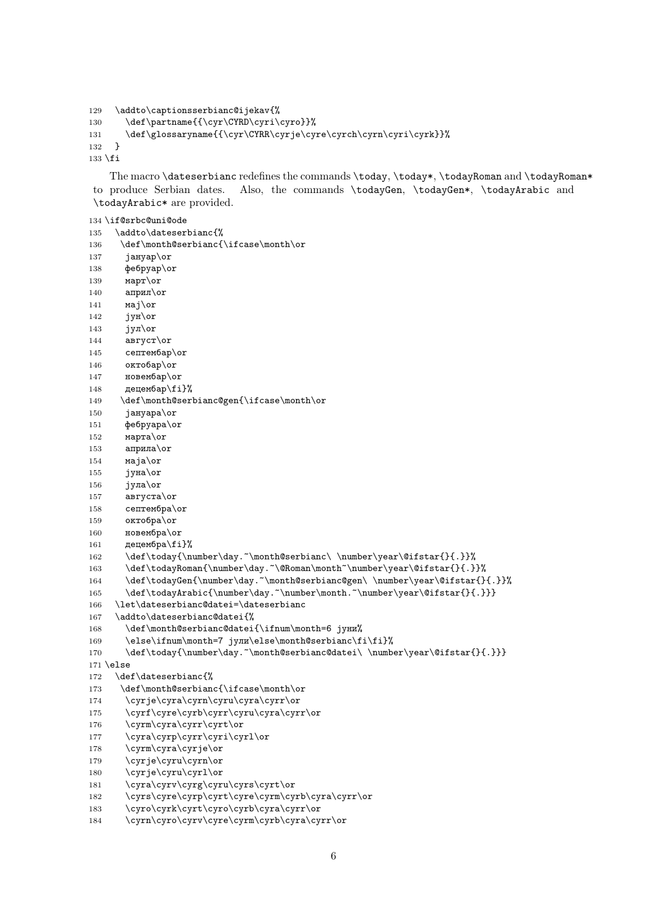```
129 \addto\captionsserbianc@ijekav{%
130 \def\partname{{\cyr\CYRD\cyri\cyro}}%
131 \def\glossaryname{{\cyr\CYRR\cyrje\cyre\cyrch\cyrn\cyri\cyrk}}%
132 }
133 \fi
```
The macro \dateserbianc redefines the commands \today, \today\*, \todayRoman and \todayRoman\* to produce Serbian dates. Also, the commands \todayGen, \todayGen\*, \todayArabic and \todayArabic\* are provided.

```
134 \if@srbc@uni@ode
135 \addto\dateserbianc{%
136 \def\month@serbianc{\ifcase\month\or
137 jануар\or
138 фебруар\or
139 март\or
140 април\or141 маj\or
142 jун\or
143 jyn\or
144 август\or
145 септембар\or
146 октобар\or
147 новембар\or
148 децембар\fi}%
149 \def\month@serbianc@gen{\ifcase\month\or
150 jануара\or
151 фебруара\or
152 марта\or
153 априла\or
154 маjа\or
155 jуна\or
156 јула\or157 августа\or
158 септембра\or
159 октобра\or
160 новембра\or
161 децембра \fi}%
162 \def\today{\number\day.~\month@serbianc\ \number\year\@ifstar{}{.}}%
163 \def\todayRoman{\number\day.~\@Roman\month~\number\year\@ifstar{}{.}}%
164 \def\todayGen{\number\day.~\month@serbianc@gen\ \number\year\@ifstar{}{.}}%
165 \def\todayArabic{\number\day.~\number\month.~\number\year\@ifstar{}{.}}}
166 \let\dateserbianc@datei=\dateserbianc
167 \addto\dateserbianc@datei{%
168 \def\month@serbianc@datei{\ifnum\month=6 jуни%
169 \else\ifnum\month=7 jули\else\month@serbianc\fi\fi}%
170 \def\today{\number\day.~\month@serbianc@datei\ \number\year\@ifstar{}{.}}}
171 \else
172 \def\dateserbianc{%
173 \def\month@serbianc{\ifcase\month\or
174 \cyrje\cyra\cyrn\cyru\cyra\cyrr\or
175 \cyrf\cyre\cyrb\cyrr\cyru\cyra\cyrr\or
176 \cyrm\cyra\cyrr\cyrt\or
177 \cyra\cyrp\cyrr\cyri\cyrl\or
178 \cyrm\cyra\cyrje\or
179 \cyrje\cyru\cyrn\or
180 \cyrje\cyru\cyrl\or
181 \cyra\cyrv\cyrg\cyru\cyrs\cyrt\or
182 \cyrs\cyre\cyrp\cyrt\cyre\cyrm\cyrb\cyra\cyrr\or
183 \cyro\cyrk\cyrt\cyro\cyrb\cyra\cyrr\or
184 \cyrn\cyro\cyrv\cyre\cyrm\cyrb\cyra\cyrr\or
```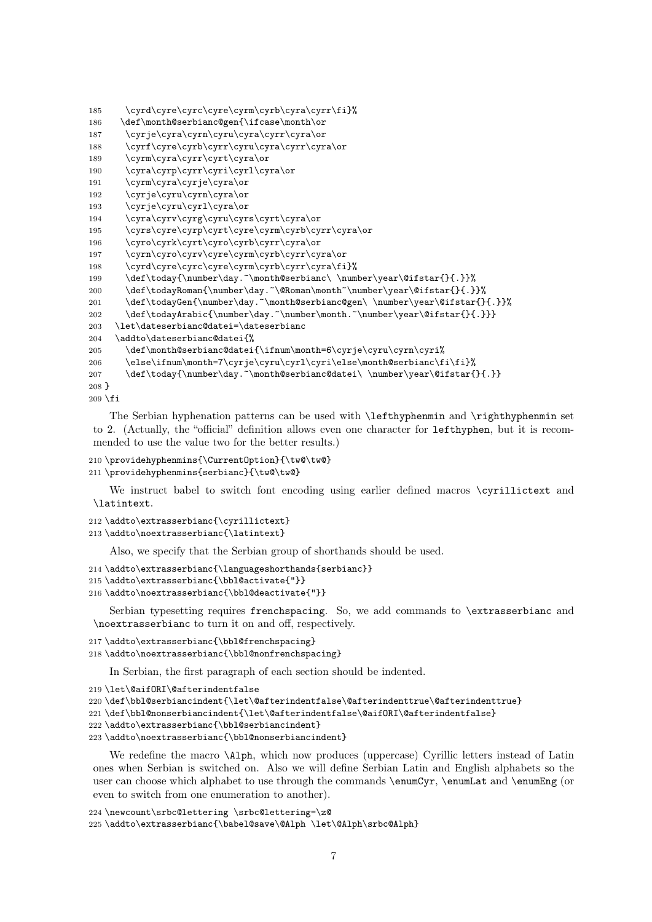```
185 \cyrd\cyre\cyrc\cyre\cyrm\cyrb\cyra\cyrr\fi}%
186 \def\month@serbianc@gen{\ifcase\month\or
187 \cyrje\cyra\cyrn\cyru\cyra\cyrr\cyra\or
188 \cyrf\cyre\cyrb\cyrr\cyru\cyra\cyrr\cyra\or
189 \cyrm\cyra\cyrr\cyrt\cyra\or
190 \cyra\cyrp\cyrr\cyri\cyrl\cyra\or
191 \cyrm\cyra\cyrje\cyra\or
192 \cyrje\cyru\cyrn\cyra\or
193 \cyrje\cyru\cyrl\cyra\or
194 \cyra\cyrv\cyrg\cyru\cyrs\cyrt\cyra\or
195 \cyrs\cyre\cyrp\cyrt\cyre\cyrm\cyrb\cyrr\cyra\or
196 \cyro\cyrk\cyrt\cyro\cyrb\cyrr\cyra\or
197 \cyrn\cyro\cyrv\cyre\cyrm\cyrb\cyrr\cyra\or
198 \cyrd\cyre\cyrc\cyre\cyrm\cyrb\cyrr\cyra\fi}%
199 \def\today{\number\day.~\month@serbianc\ \number\year\@ifstar{}{.}}%
200 \def\todayRoman{\number\day.~\@Roman\month~\number\year\@ifstar{}{.}}%
201 \def\todayGen{\number\day.~\month@serbianc@gen\ \number\year\@ifstar{}{.}}%
202 \def\todayArabic{\number\day.~\number\month.~\number\year\@ifstar{}{.}}}
203 \let\dateserbianc@datei=\dateserbianc
204 \addto\dateserbianc@datei{%
205 \def\month@serbianc@datei{\ifnum\month=6\cyrje\cyru\cyrn\cyri%
206 \else\ifnum\month=7\cyrje\cyru\cyrl\cyri\else\month@serbianc\fi\fi}%
207 \def\today{\number\day.~\month@serbianc@datei\ \number\year\@ifstar{}{.}}
208 }
```

```
209 \text{ } \text{ } 15
```
The Serbian hyphenation patterns can be used with \lefthyphenmin and \righthyphenmin set to 2. (Actually, the "official" definition allows even one character for lefthyphen, but it is recommended to use the value two for the better results.)

```
210 \providehyphenmins{\CurrentOption}{\tw@\tw@}
211 \providehyphenmins{serbianc}{\tw@\tw@}
```
We instruct babel to switch font encoding using earlier defined macros \cyrillictext and \latintext.

```
212 \addto\extrasserbianc{\cyrillictext}
```

```
213 \addto\noextrasserbianc{\latintext}
```
Also, we specify that the Serbian group of shorthands should be used.

```
214 \addto\extrasserbianc{\languageshorthands{serbianc}}
```

```
215 \addto\extrasserbianc{\bbl@activate{"}}
```

```
216 \addto\noextrasserbianc{\bbl@deactivate{"}}
```
Serbian typesetting requires frenchspacing. So, we add commands to \extrasserbianc and \noextrasserbianc to turn it on and off, respectively.

```
217 \addto\extrasserbianc{\bbl@frenchspacing}
```

```
218 \addto\noextrasserbianc{\bbl@nonfrenchspacing}
```
In Serbian, the first paragraph of each section should be indented.

```
219 \let\@aifORI\@afterindentfalse
```

```
220\def\bbl@serbiancindent{\let\@afterindentfalse\@afterindenttrue\@afterindenttrue}
```
221 \def\bbl@nonserbiancindent{\let\@afterindentfalse\@aifORI\@afterindentfalse}

```
222 \addto\extrasserbianc{\bbl@serbiancindent}
```

```
223 \addto\noextrasserbianc{\bbl@nonserbiancindent}
```
We redefine the macro  $\Lambda$ lph, which now produces (uppercase) Cyrillic letters instead of Latin ones when Serbian is switched on. Also we will define Serbian Latin and English alphabets so the user can choose which alphabet to use through the commands \enumCyr, \enumLat and \enumEng (or even to switch from one enumeration to another).

```
224 \newcount\srbc@lettering \srbc@lettering=\z@
225 \addto\extrasserbianc{\babel@save\@Alph \let\@Alph\srbc@Alph}
```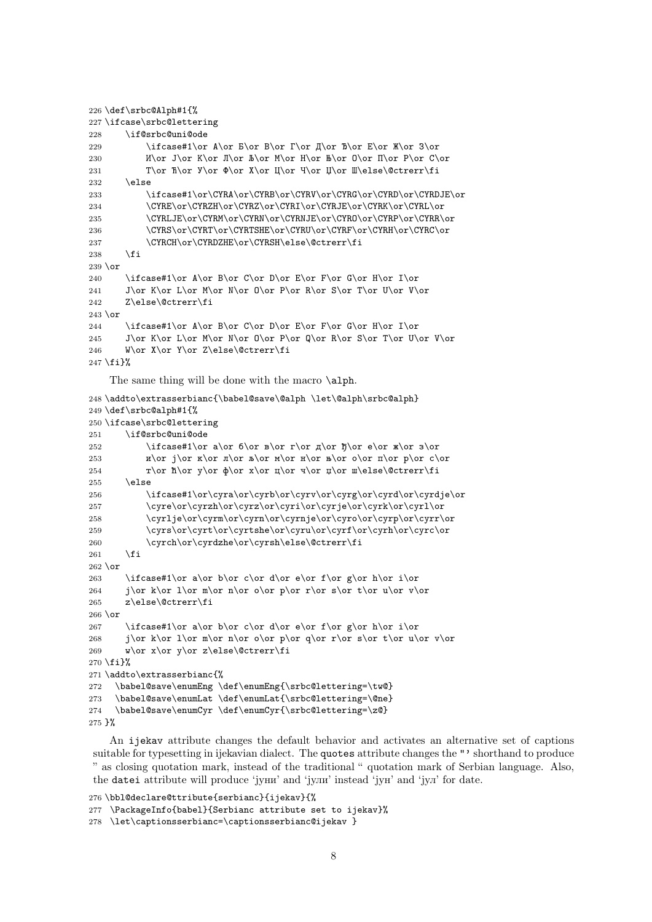```
226 \def\srbc@Alph#1{%
227 \ifcase\srbc@lettering
228 \if@srbc@uni@ode
229 \ifcase#1\or А\or Б\or В\or Г\or Д\or Ђ\or Е\or Ж\or З\or
230 M\or\ I\or\ K\or\ J\or\ A\or\ M\or\ H\or\ B\or\ O\or\ I\or\ C\or231 T\or ħ\or \varphi\or X\or Ц\or Ч\or Щ\or Welse\@ctrerr\fi
232 \qquad \text{else}233 \ifcase#1\or\CYRA\or\CYRB\or\CYRV\or\CYRG\or\CYRD\or\CYRDJE\or
234 \CYRE\or\CYRZH\or\CYRZ\or\CYRI\or\CYRJE\or\CYRK\or\CYRL\or
235 \CYRLJE\or\CYRM\or\CYRN\or\CYRNJE\or\CYRO\or\CYRP\or\CYRR\or
236 \CYRS\or\CYRT\or\CYRTSHE\or\CYRU\or\CYRF\or\CYRH\or\CYRC\or
237 \CYRCH\or\CYRDZHE\or\CYRSH\else\@ctrerr\fi
238 \setminusfi
239 \or
240 \ifcase#1\or A\or B\or C\or D\or E\or F\or G\or H\or I\or
241 J\or K\or L\or M\or N\or O\or P\or R\or S\or T\or U\or V\or
242 Z\else\@ctrerr\fi
243 \or
244 \ifcase#1\or A\or B\or C\or D\or E\or F\or G\or H\or I\or
245 J\or K\or L\or M\or N\or O\or P\or Q\or R\or S\or T\or U\or V\or
246 W\or X\or Y\or Z\else\@ctrerr\fi
247 \fi}%
    The same thing will be done with the macro \alph.
248 \addto\extrasserbianc{\babel@save\@alph \let\@alph\srbc@alph}
249 \def\srbc@alph#1{%
250 \ifcase\srbc@lettering
251 \if@srbc@uni@ode
252 \ifcase#1\or a\or 6\or B\or T\or A\or B\or e\or X\or 3\or253 \mathbb{R}\or \mathbb{R}\or \mathbb{R}\or \mathbb{R}\or \mathbb{R}\or \mathbb{R}\or \mathbb{R}\or \mathbb{R}\or \mathbb{R}\or \mathbb{R}\or \mathbb{R}\or \mathbb{R}254 т\or ћ\or у\or ф\or х\or ц\or ч\or џ\or ш\else\@ctrerr\fi
255 \else
256 \ifcase#1\or\cyra\or\cyrb\or\cyrv\or\cyrg\or\cyrd\or\cyrdje\or
257 \cyre\or\cyrzh\or\cyrz\or\cyri\or\cyrje\or\cyrk\or\cyrl\or
258 \cyrlje\or\cyrm\or\cyrn\or\cyrnje\or\cyro\or\cyrp\or\cyrr\or
259 \cyrs\or\cyrt\or\cyrtshe\or\cyru\or\cyrf\or\cyrh\or\cyrc\or
260 \cyrch\or\cyrdzhe\or\cyrsh\else\@ctrerr\fi
261 \fi
262 \text{ or}263 \ifcase#1\or a\or b\or c\or d\or e\or f\or g\or h\or i\or
264 j\or k\or 1\or m\or n\or o\or p\or r\or s\or t\or u\or v\or
265 z\else\@ctrerr\fi
266 \or
267 \ifcase#1\or a\or b\or c\or d\or e\or f\or g\or h\or i\or
268 j\or k\or l\or m\or n\or o\or p\or q\or r\or s\or t\or u\or v\or
269 w\or x\or y\or z\else\@ctrerr\fi
270 \fi}%
271 \addto\extrasserbianc{%
272 \babel@save\enumEng \def\enumEng{\srbc@lettering=\tw@}
273 \babel@save\enumLat \def\enumLat{\srbc@lettering=\@ne}
274 \babel@save\enumCyr \def\enumCyr{\srbc@lettering=\z@}
```

```
275 }%
```
An ijekav attribute changes the default behavior and activates an alternative set of captions suitable for typesetting in ijekavian dialect. The quotes attribute changes the "' shorthand to produce " as closing quotation mark, instead of the traditional " quotation mark of Serbian language. Also, the datei attribute will produce 'jуни' and 'jули' instead 'jун' and 'jул' for date.

```
276 \bbl@declare@ttribute{serbianc}{ijekav}{%
277 \PackageInfo{babel}{Serbianc attribute set to ijekav}%
278 \let\captionsserbianc=\captionsserbianc@ijekav }
```